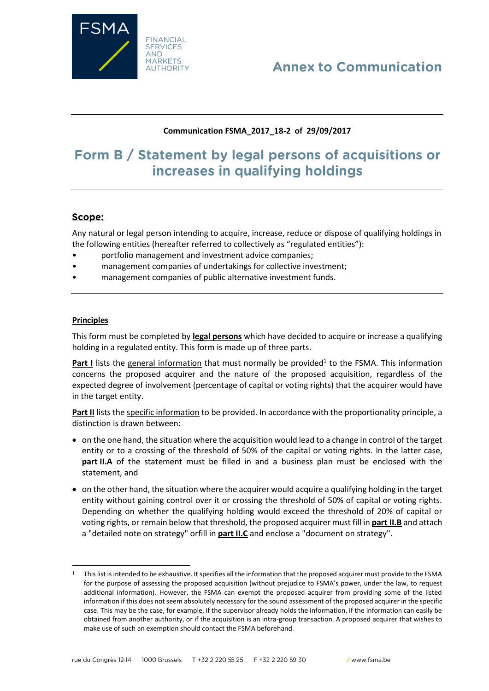

# **Annex to Communication**

# **Communication FSMA\_2017\_18-2 of 29/09/2017**

# Form B / Statement by legal persons of acquisitions or increases in qualifying holdings

# Scope:

Any natural or legal person intending to acquire, increase, reduce or dispose of qualifying holdings in the following entities (hereafter referred to collectively as "regulated entities"):

- portfolio management and investment advice companies;
- management companies of undertakings for collective investment;
- management companies of public alternative investment funds.

#### **Principles**

 $\overline{\phantom{a}}$ 

This form must be completed by **legal persons** which have decided to acquire or increase a qualifying holding in a regulated entity. This form is made up of three parts.

Part I lists the general information that must normally be provided<sup>1</sup> to the FSMA. This information concerns the proposed acquirer and the nature of the proposed acquisition, regardless of the expected degree of involvement (percentage of capital or voting rights) that the acquirer would have in the target entity.

**Part II** lists the specific information to be provided. In accordance with the proportionality principle, a distinction is drawn between:

- on the one hand, the situation where the acquisition would lead to a change in control of the target entity or to a crossing of the threshold of 50% of the capital or voting rights. In the latter case, **part II.A** of the statement must be filled in and a business plan must be enclosed with the statement, and
- on the other hand, the situation where the acquirer would acquire a qualifying holding in the target entity without gaining control over it or crossing the threshold of 50% of capital or voting rights. Depending on whether the qualifying holding would exceed the threshold of 20% of capital or voting rights, or remain below that threshold, the proposed acquirer must fill in **part II.B** and attach a "detailed note on strategy" orfill in **part II.C** and enclose a "document on strategy".

<sup>&</sup>lt;sup>1</sup> This list is intended to be exhaustive. It specifies all the information that the proposed acquirer must provide to the FSMA for the purpose of assessing the proposed acquisition (without prejudice to FSMA's power, under the law, to request additional information). However, the FSMA can exempt the proposed acquirer from providing some of the listed information if this does not seem absolutely necessary for the sound assessment of the proposed acquirer in the specific case. This may be the case, for example, if the supervisor already holds the information, if the information can easily be obtained from another authority, or if the acquisition is an intra-group transaction. A proposed acquirer that wishes to make use of such an exemption should contact the FSMA beforehand.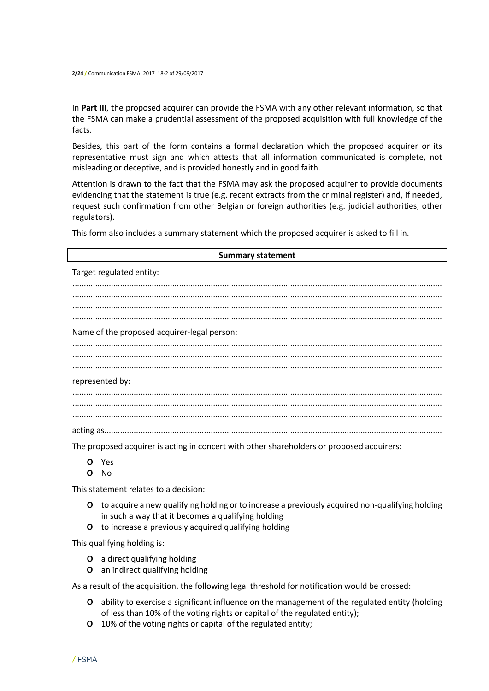In **Part III**, the proposed acquirer can provide the FSMA with any other relevant information, so that the FSMA can make a prudential assessment of the proposed acquisition with full knowledge of the facts.

Besides, this part of the form contains a formal declaration which the proposed acquirer or its representative must sign and which attests that all information communicated is complete, not misleading or deceptive, and is provided honestly and in good faith.

Attention is drawn to the fact that the FSMA may ask the proposed acquirer to provide documents evidencing that the statement is true (e.g. recent extracts from the criminal register) and, if needed, request such confirmation from other Belgian or foreign authorities (e.g. judicial authorities, other regulators).

This form also includes a summary statement which the proposed acquirer is asked to fill in.

| <b>Summary statement</b>                                                                                        |
|-----------------------------------------------------------------------------------------------------------------|
| Target regulated entity:                                                                                        |
|                                                                                                                 |
|                                                                                                                 |
| Name of the proposed acquirer-legal person:                                                                     |
|                                                                                                                 |
| represented by:                                                                                                 |
|                                                                                                                 |
|                                                                                                                 |
| the contract of the contract of the contract of the contract of the contract of the contract of the contract of |

The proposed acquirer is acting in concert with other shareholders or proposed acquirers:

- **O** Yes
- **O** No

This statement relates to a decision:

- **O** to acquire a new qualifying holding or to increase a previously acquired non-qualifying holding in such a way that it becomes a qualifying holding
- **O** to increase a previously acquired qualifying holding

This qualifying holding is:

- **O** a direct qualifying holding
- **O** an indirect qualifying holding

As a result of the acquisition, the following legal threshold for notification would be crossed:

- **O** ability to exercise a significant influence on the management of the regulated entity (holding of less than 10% of the voting rights or capital of the regulated entity);
- **O** 10% of the voting rights or capital of the regulated entity;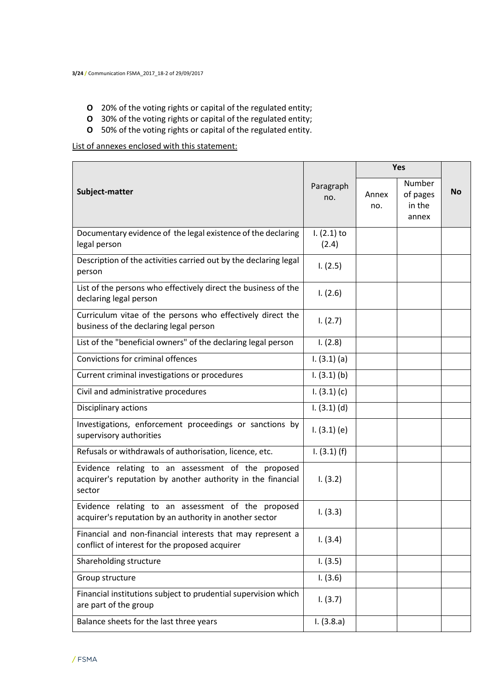- **O** 20% of the voting rights or capital of the regulated entity;
- **O** 30% of the voting rights or capital of the regulated entity;
- **O** 50% of the voting rights or capital of the regulated entity.

List of annexes enclosed with this statement:

|                                                                                                                             |                        | Yes          |                                       |           |
|-----------------------------------------------------------------------------------------------------------------------------|------------------------|--------------|---------------------------------------|-----------|
| Subject-matter                                                                                                              | Paragraph<br>no.       | Annex<br>no. | Number<br>of pages<br>in the<br>annex | <b>No</b> |
| Documentary evidence of the legal existence of the declaring<br>legal person                                                | $1. (2.1)$ to<br>(2.4) |              |                                       |           |
| Description of the activities carried out by the declaring legal<br>person                                                  | 1. (2.5)               |              |                                       |           |
| List of the persons who effectively direct the business of the<br>declaring legal person                                    | 1. (2.6)               |              |                                       |           |
| Curriculum vitae of the persons who effectively direct the<br>business of the declaring legal person                        | 1. (2.7)               |              |                                       |           |
| List of the "beneficial owners" of the declaring legal person                                                               | 1. (2.8)               |              |                                       |           |
| <b>Convictions for criminal offences</b>                                                                                    | 1. (3.1) (a)           |              |                                       |           |
| Current criminal investigations or procedures                                                                               | $1. (3.1)$ (b)         |              |                                       |           |
| Civil and administrative procedures                                                                                         | 1. (3.1) (c)           |              |                                       |           |
| Disciplinary actions                                                                                                        | $1. (3.1)$ (d)         |              |                                       |           |
| Investigations, enforcement proceedings or sanctions by<br>supervisory authorities                                          | 1. (3.1) (e)           |              |                                       |           |
| Refusals or withdrawals of authorisation, licence, etc.                                                                     | 1. (3.1) (f)           |              |                                       |           |
| Evidence relating to an assessment of the proposed<br>acquirer's reputation by another authority in the financial<br>sector | 1. (3.2)               |              |                                       |           |
| Evidence relating to an assessment of the proposed<br>acquirer's reputation by an authority in another sector               | 1. (3.3)               |              |                                       |           |
| Financial and non-financial interests that may represent a<br>conflict of interest for the proposed acquirer                | 1. (3.4)               |              |                                       |           |
| Shareholding structure                                                                                                      | 1. (3.5)               |              |                                       |           |
| Group structure                                                                                                             | 1. (3.6)               |              |                                       |           |
| Financial institutions subject to prudential supervision which<br>are part of the group                                     | 1. (3.7)               |              |                                       |           |
| Balance sheets for the last three years                                                                                     | 1. (3.8.a)             |              |                                       |           |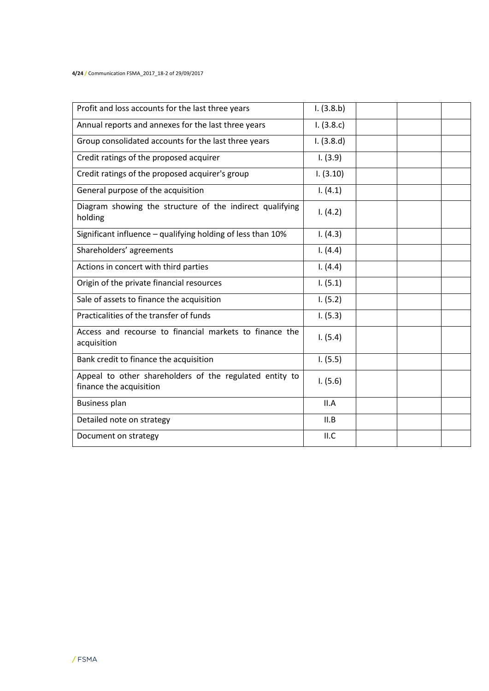**4/24 /** Communication FSMA\_2017\_18-2 of 29/09/2017

| Profit and loss accounts for the last three years                                  | 1. (3.8.b) |  |  |
|------------------------------------------------------------------------------------|------------|--|--|
| Annual reports and annexes for the last three years                                | 1. (3.8.c) |  |  |
| Group consolidated accounts for the last three years                               | 1. (3.8.d) |  |  |
| Credit ratings of the proposed acquirer                                            | 1. (3.9)   |  |  |
| Credit ratings of the proposed acquirer's group                                    | 1. (3.10)  |  |  |
| General purpose of the acquisition                                                 | 1. (4.1)   |  |  |
| Diagram showing the structure of the indirect qualifying<br>holding                | 1. (4.2)   |  |  |
| Significant influence - qualifying holding of less than 10%                        | 1. (4.3)   |  |  |
| Shareholders' agreements                                                           | 1. (4.4)   |  |  |
| Actions in concert with third parties                                              | 1. (4.4)   |  |  |
| Origin of the private financial resources                                          | 1. (5.1)   |  |  |
| Sale of assets to finance the acquisition                                          | 1. (5.2)   |  |  |
| Practicalities of the transfer of funds                                            | 1. (5.3)   |  |  |
| Access and recourse to financial markets to finance the<br>acquisition             | 1. (5.4)   |  |  |
| Bank credit to finance the acquisition                                             | 1. (5.5)   |  |  |
| Appeal to other shareholders of the regulated entity to<br>finance the acquisition | 1. (5.6)   |  |  |
| Business plan                                                                      | II.A       |  |  |
| Detailed note on strategy                                                          | II.B       |  |  |
| Document on strategy                                                               | II.C       |  |  |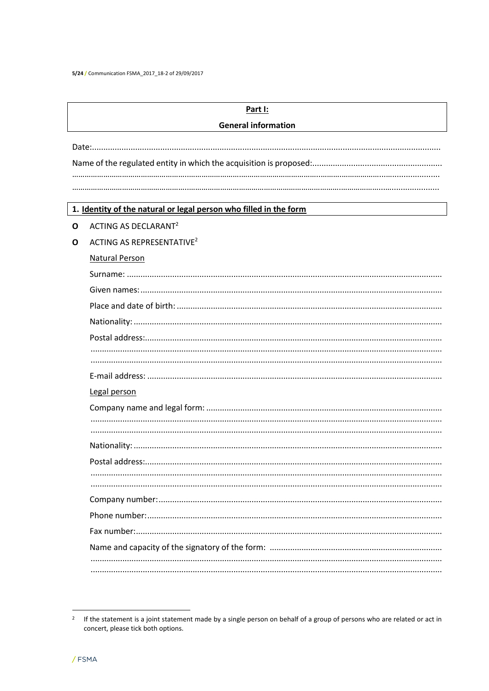5/24 / Communication FSMA\_2017\_18-2 of 29/09/2017

|   | Part I:                                                           |  |  |  |  |
|---|-------------------------------------------------------------------|--|--|--|--|
|   | <b>General information</b>                                        |  |  |  |  |
|   |                                                                   |  |  |  |  |
|   |                                                                   |  |  |  |  |
|   |                                                                   |  |  |  |  |
|   |                                                                   |  |  |  |  |
|   | 1. Identity of the natural or legal person who filled in the form |  |  |  |  |
| O | ACTING AS DECLARANT <sup>2</sup>                                  |  |  |  |  |
| O | ACTING AS REPRESENTATIVE <sup>2</sup>                             |  |  |  |  |
|   | <b>Natural Person</b>                                             |  |  |  |  |
|   |                                                                   |  |  |  |  |
|   |                                                                   |  |  |  |  |
|   |                                                                   |  |  |  |  |
|   |                                                                   |  |  |  |  |
|   |                                                                   |  |  |  |  |
|   |                                                                   |  |  |  |  |
|   |                                                                   |  |  |  |  |
|   |                                                                   |  |  |  |  |
|   | Legal person                                                      |  |  |  |  |
|   |                                                                   |  |  |  |  |
|   |                                                                   |  |  |  |  |
|   |                                                                   |  |  |  |  |
|   |                                                                   |  |  |  |  |
|   |                                                                   |  |  |  |  |
|   |                                                                   |  |  |  |  |
|   |                                                                   |  |  |  |  |
|   |                                                                   |  |  |  |  |
|   |                                                                   |  |  |  |  |
|   |                                                                   |  |  |  |  |
|   |                                                                   |  |  |  |  |
|   |                                                                   |  |  |  |  |

<sup>&</sup>lt;sup>2</sup> If the statement is a joint statement made by a single person on behalf of a group of persons who are related or act in concert, please tick both options.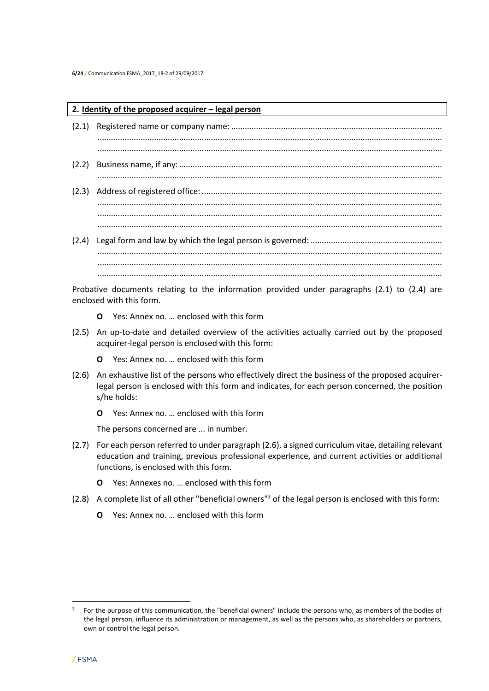#### **2. Identity of the proposed acquirer – legal person**

(2.1) Registered name or company name: ............................................................................................. ........................................................................................................................................................ ........................................................................................................................................................ (2.2) Business name, if any:.................................................................................................................... ........................................................................................................................................................ (2.3) Address of registered office: .......................................................................................................... ........................................................................................................................................................ ........................................................................................................................................................ ........................................................................................................................................................ (2.4) Legal form and law by which the legal person is governed: .......................................................... ........................................................................................................................................................

........................................................................................................................................................ Probative documents relating to the information provided under paragraphs (2.1) to (2.4) are enclosed with this form.

........................................................................................................................................................

- **O** Yes: Annex no. … enclosed with this form
- (2.5) An up-to-date and detailed overview of the activities actually carried out by the proposed acquirer-legal person is enclosed with this form:
	- **O** Yes: Annex no. … enclosed with this form
- (2.6) An exhaustive list of the persons who effectively direct the business of the proposed acquirerlegal person is enclosed with this form and indicates, for each person concerned, the position s/he holds:
	- **O** Yes: Annex no. … enclosed with this form

The persons concerned are ... in number.

- (2.7) For each person referred to under paragraph (2.6), a signed curriculum vitae, detailing relevant education and training, previous professional experience, and current activities or additional functions, is enclosed with this form.
	- **O** Yes: Annexes no. … enclosed with this form
- (2.8) A complete list of all other "beneficial owners"<sup>3</sup> of the legal person is enclosed with this form:
	- **O** Yes: Annex no. … enclosed with this form

 $\overline{a}$ 

<sup>3</sup> For the purpose of this communication, the "beneficial owners" include the persons who, as members of the bodies of the legal person, influence its administration or management, as well as the persons who, as shareholders or partners, own or control the legal person.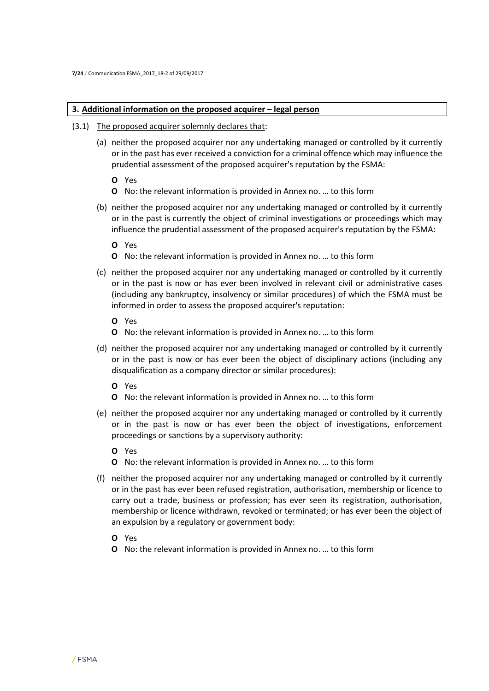#### **3. Additional information on the proposed acquirer – legal person**

- (3.1) The proposed acquirer solemnly declares that:
	- (a) neither the proposed acquirer nor any undertaking managed or controlled by it currently or in the past has ever received a conviction for a criminal offence which may influence the prudential assessment of the proposed acquirer's reputation by the FSMA:
		- **O** Yes
		- **O** No: the relevant information is provided in Annex no. … to this form
	- (b) neither the proposed acquirer nor any undertaking managed or controlled by it currently or in the past is currently the object of criminal investigations or proceedings which may influence the prudential assessment of the proposed acquirer's reputation by the FSMA:
		- **O** Yes
		- **O** No: the relevant information is provided in Annex no. … to this form
	- (c) neither the proposed acquirer nor any undertaking managed or controlled by it currently or in the past is now or has ever been involved in relevant civil or administrative cases (including any bankruptcy, insolvency or similar procedures) of which the FSMA must be informed in order to assess the proposed acquirer's reputation:
		- **O** Yes
		- **O** No: the relevant information is provided in Annex no. … to this form
	- (d) neither the proposed acquirer nor any undertaking managed or controlled by it currently or in the past is now or has ever been the object of disciplinary actions (including any disqualification as a company director or similar procedures):
		- **O** Yes
		- **O** No: the relevant information is provided in Annex no. … to this form
	- (e) neither the proposed acquirer nor any undertaking managed or controlled by it currently or in the past is now or has ever been the object of investigations, enforcement proceedings or sanctions by a supervisory authority:
		- **O** Yes
		- **O** No: the relevant information is provided in Annex no. … to this form
	- (f) neither the proposed acquirer nor any undertaking managed or controlled by it currently or in the past has ever been refused registration, authorisation, membership or licence to carry out a trade, business or profession; has ever seen its registration, authorisation, membership or licence withdrawn, revoked or terminated; or has ever been the object of an expulsion by a regulatory or government body:
		- **O** Yes
		- **O** No: the relevant information is provided in Annex no. … to this form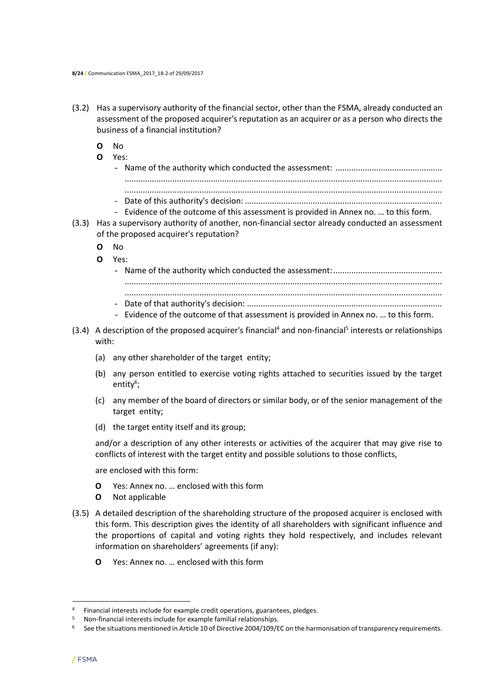- (3.2) Has a supervisory authority of the financial sector, other than the FSMA, already conducted an assessment of the proposed acquirer's reputation as an acquirer or as a person who directs the business of a financial institution?
	- **O** No
	- **O** Yes:
	- Name of the authority which conducted the assessment: ............................................... ............................................................................................................................................ ............................................................................................................................................ - Date of this authority's decision: ....................................................................................... - Evidence of the outcome of this assessment is provided in Annex no. … to this form.
- (3.3) Has a supervisory authority of another, non-financial sector already conducted an assessment of the proposed acquirer's reputation?
	- **O** No
	- **O** Yes:
		- Name of the authority which conducted the assessment:................................................ ............................................................................................................................................ ............................................................................................................................................ - Date of that authority's decision: ......................................................................................
			- Evidence of the outcome of that assessment is provided in Annex no. … to this form.
- $(3.4)$  A description of the proposed acquirer's financial<sup>4</sup> and non-financial<sup>5</sup> interests or relationships with:
	- (a) any other shareholder of the target entity;
	- (b) any person entitled to exercise voting rights attached to securities issued by the target entity<sup>6</sup>;
	- (c) any member of the board of directors or similar body, or of the senior management of the target entity;
	- (d) the target entity itself and its group;

and/or a description of any other interests or activities of the acquirer that may give rise to conflicts of interest with the target entity and possible solutions to those conflicts,

are enclosed with this form:

- **O** Yes: Annex no. … enclosed with this form
- **O** Not applicable
- (3.5) A detailed description of the shareholding structure of the proposed acquirer is enclosed with this form. This description gives the identity of all shareholders with significant influence and the proportions of capital and voting rights they hold respectively, and includes relevant information on shareholders' agreements (if any):
	- **O** Yes: Annex no. … enclosed with this form

 $\overline{a}$ 

<sup>&</sup>lt;sup>4</sup> Financial interests include for example credit operations, guarantees, pledges.

<sup>5</sup> Non-financial interests include for example familial relationships.

<sup>&</sup>lt;sup>6</sup> See the situations mentioned in Article 10 of Directive 2004/109/EC on the harmonisation of transparency requirements.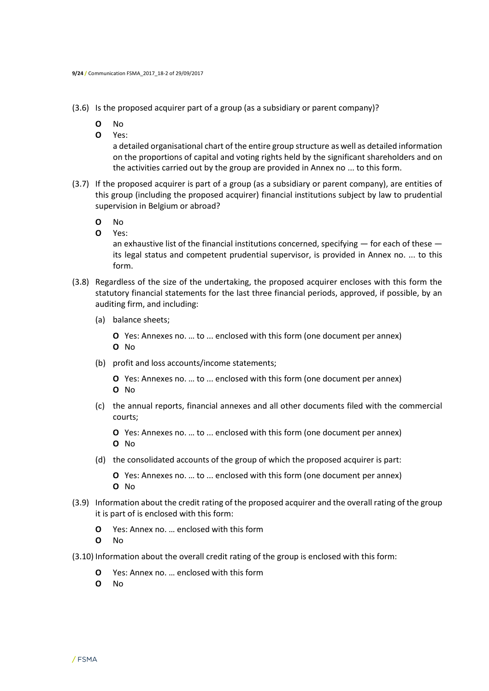(3.6) Is the proposed acquirer part of a group (as a subsidiary or parent company)?

- **O** No
- **O** Yes:

a detailed organisational chart of the entire group structure as well as detailed information on the proportions of capital and voting rights held by the significant shareholders and on the activities carried out by the group are provided in Annex no ... to this form.

- (3.7) If the proposed acquirer is part of a group (as a subsidiary or parent company), are entities of this group (including the proposed acquirer) financial institutions subject by law to prudential supervision in Belgium or abroad?
	- **O** No
	- **O** Yes:

an exhaustive list of the financial institutions concerned, specifying — for each of these its legal status and competent prudential supervisor, is provided in Annex no. ... to this form.

- (3.8) Regardless of the size of the undertaking, the proposed acquirer encloses with this form the statutory financial statements for the last three financial periods, approved, if possible, by an auditing firm, and including:
	- (a) balance sheets;

**O** Yes: Annexes no. … to ... enclosed with this form (one document per annex) **O** No

- (b) profit and loss accounts/income statements;
	- **O** Yes: Annexes no. … to ... enclosed with this form (one document per annex) **O** No
- (c) the annual reports, financial annexes and all other documents filed with the commercial courts;

**O** Yes: Annexes no. … to ... enclosed with this form (one document per annex) **O** No

(d) the consolidated accounts of the group of which the proposed acquirer is part:

**O** Yes: Annexes no. … to ... enclosed with this form (one document per annex) **O** No

- (3.9) Information about the credit rating of the proposed acquirer and the overall rating of the group it is part of is enclosed with this form:
	- **O** Yes: Annex no. … enclosed with this form
	- **O** No
- (3.10) Information about the overall credit rating of the group is enclosed with this form:
	- **O** Yes: Annex no. … enclosed with this form
	- **O** No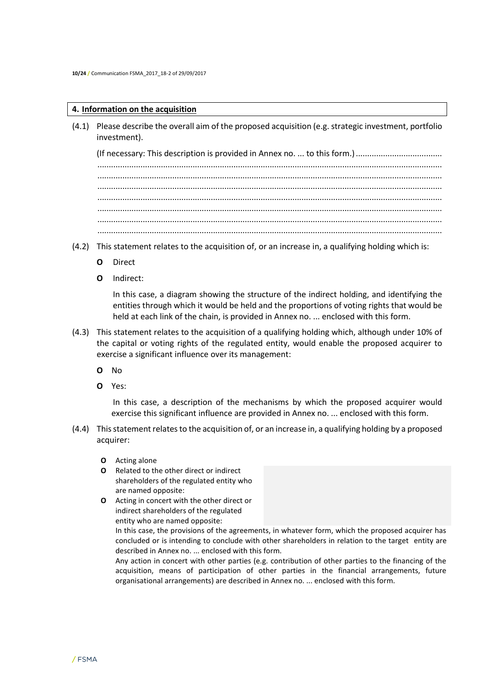#### **4. Information on the acquisition**

(4.1) Please describe the overall aim of the proposed acquisition (e.g. strategic investment, portfolio investment).

(If necessary: This description is provided in Annex no. ... to this form.)...................................... ........................................................................................................................................................ ........................................................................................................................................................ ........................................................................................................................................................ ........................................................................................................................................................ ........................................................................................................................................................ ........................................................................................................................................................

- (4.2) This statement relates to the acquisition of, or an increase in, a qualifying holding which is:
	- **O** Direct
	- **O** Indirect:

In this case, a diagram showing the structure of the indirect holding, and identifying the entities through which it would be held and the proportions of voting rights that would be held at each link of the chain, is provided in Annex no. ... enclosed with this form.

- (4.3) This statement relates to the acquisition of a qualifying holding which, although under 10% of the capital or voting rights of the regulated entity, would enable the proposed acquirer to exercise a significant influence over its management:
	- **O** No
	- **O** Yes:

In this case, a description of the mechanisms by which the proposed acquirer would exercise this significant influence are provided in Annex no. ... enclosed with this form.

- (4.4) This statement relates to the acquisition of, or an increase in, a qualifying holding by a proposed acquirer:
	- **O** Acting alone
	- **O** Related to the other direct or indirect shareholders of the regulated entity who are named opposite:
	- **O** Acting in concert with the other direct or indirect shareholders of the regulated entity who are named opposite:

In this case, the provisions of the agreements, in whatever form, which the proposed acquirer has concluded or is intending to conclude with other shareholders in relation to the target entity are described in Annex no. ... enclosed with this form.

Any action in concert with other parties (e.g. contribution of other parties to the financing of the acquisition, means of participation of other parties in the financial arrangements, future organisational arrangements) are described in Annex no. ... enclosed with this form.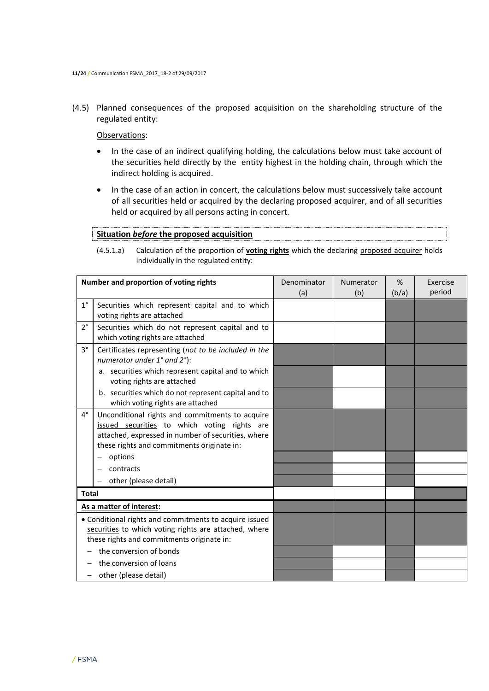(4.5) Planned consequences of the proposed acquisition on the shareholding structure of the regulated entity:

Observations:

- In the case of an indirect qualifying holding, the calculations below must take account of the securities held directly by the entity highest in the holding chain, through which the indirect holding is acquired.
- In the case of an action in concert, the calculations below must successively take account of all securities held or acquired by the declaring proposed acquirer, and of all securities held or acquired by all persons acting in concert.

# **Situation** *before* **the proposed acquisition**

(4.5.1.a) Calculation of the proportion of **voting rights** which the declaring proposed acquirer holds individually in the regulated entity:

|                          | Number and proportion of voting rights                                                                                                                                                              | Denominator | Numerator | %     | Exercise |
|--------------------------|-----------------------------------------------------------------------------------------------------------------------------------------------------------------------------------------------------|-------------|-----------|-------|----------|
|                          |                                                                                                                                                                                                     | (a)         | (b)       | (b/a) | period   |
| $1^{\circ}$              | Securities which represent capital and to which<br>voting rights are attached                                                                                                                       |             |           |       |          |
| $2^{\circ}$              | Securities which do not represent capital and to<br>which voting rights are attached                                                                                                                |             |           |       |          |
| $3^{\circ}$              | Certificates representing (not to be included in the<br>numerator under 1° and 2°):                                                                                                                 |             |           |       |          |
|                          | a. securities which represent capital and to which<br>voting rights are attached                                                                                                                    |             |           |       |          |
|                          | b. securities which do not represent capital and to<br>which voting rights are attached                                                                                                             |             |           |       |          |
| $4^{\circ}$              | Unconditional rights and commitments to acquire<br>issued securities to which voting rights are<br>attached, expressed in number of securities, where<br>these rights and commitments originate in: |             |           |       |          |
|                          | options                                                                                                                                                                                             |             |           |       |          |
|                          | contracts                                                                                                                                                                                           |             |           |       |          |
|                          | other (please detail)                                                                                                                                                                               |             |           |       |          |
| <b>Total</b>             |                                                                                                                                                                                                     |             |           |       |          |
|                          | As a matter of interest:                                                                                                                                                                            |             |           |       |          |
|                          | • Conditional rights and commitments to acquire issued<br>securities to which voting rights are attached, where<br>these rights and commitments originate in:                                       |             |           |       |          |
|                          | the conversion of bonds                                                                                                                                                                             |             |           |       |          |
|                          | the conversion of loans                                                                                                                                                                             |             |           |       |          |
| $\overline{\phantom{0}}$ | other (please detail)                                                                                                                                                                               |             |           |       |          |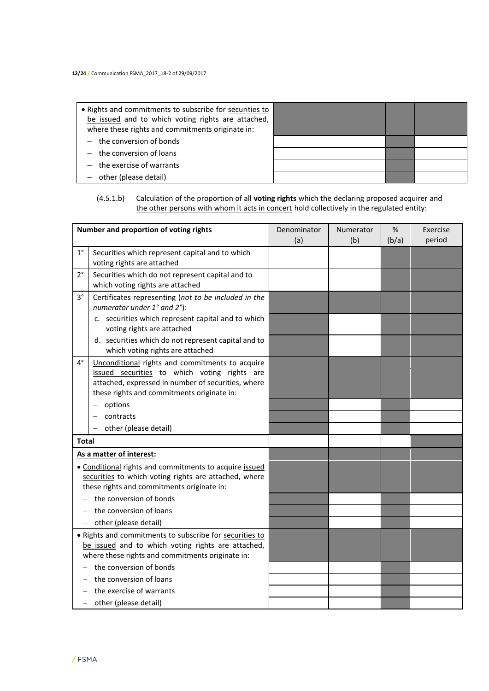| • Rights and commitments to subscribe for securities to<br>be issued and to which voting rights are attached,<br>where these rights and commitments originate in: |  |  |
|-------------------------------------------------------------------------------------------------------------------------------------------------------------------|--|--|
| $-$ the conversion of bonds                                                                                                                                       |  |  |
| $-$ the conversion of loans                                                                                                                                       |  |  |
| $-$ the exercise of warrants                                                                                                                                      |  |  |
| other (please detail)                                                                                                                                             |  |  |

# (4.5.1.b) Calculation of the proportion of all **voting rights** which the declaring proposed acquirer and the other persons with whom it acts in concert hold collectively in the regulated entity:

|                   | Number and proportion of voting rights                                                  | Denominator | Numerator | %     | Exercise |
|-------------------|-----------------------------------------------------------------------------------------|-------------|-----------|-------|----------|
|                   |                                                                                         | (a)         | (b)       | (b/a) | period   |
| $1^{\circ}$       | Securities which represent capital and to which                                         |             |           |       |          |
|                   | voting rights are attached                                                              |             |           |       |          |
| $2^{\circ}$       | Securities which do not represent capital and to                                        |             |           |       |          |
|                   | which voting rights are attached                                                        |             |           |       |          |
| 3°                | Certificates representing (not to be included in the<br>numerator under 1° and 2°):     |             |           |       |          |
|                   | c. securities which represent capital and to which                                      |             |           |       |          |
|                   | voting rights are attached                                                              |             |           |       |          |
|                   | d. securities which do not represent capital and to<br>which voting rights are attached |             |           |       |          |
| $4^{\circ}$       | Unconditional rights and commitments to acquire                                         |             |           |       |          |
|                   | issued securities to which voting rights are                                            |             |           |       |          |
|                   | attached, expressed in number of securities, where                                      |             |           |       |          |
|                   | these rights and commitments originate in:                                              |             |           |       |          |
|                   | options                                                                                 |             |           |       |          |
|                   | contracts                                                                               |             |           |       |          |
|                   | other (please detail)                                                                   |             |           |       |          |
| <b>Total</b>      |                                                                                         |             |           |       |          |
|                   | As a matter of interest:                                                                |             |           |       |          |
|                   | . Conditional rights and commitments to acquire issued                                  |             |           |       |          |
|                   | securities to which voting rights are attached, where                                   |             |           |       |          |
|                   | these rights and commitments originate in:                                              |             |           |       |          |
|                   | the conversion of bonds                                                                 |             |           |       |          |
|                   | the conversion of loans                                                                 |             |           |       |          |
| $\qquad \qquad -$ | other (please detail)                                                                   |             |           |       |          |
|                   | • Rights and commitments to subscribe for securities to                                 |             |           |       |          |
|                   | be issued and to which voting rights are attached,                                      |             |           |       |          |
|                   | where these rights and commitments originate in:                                        |             |           |       |          |
|                   | the conversion of bonds                                                                 |             |           |       |          |
|                   | the conversion of loans                                                                 |             |           |       |          |
|                   | the exercise of warrants                                                                |             |           |       |          |
| -                 | other (please detail)                                                                   |             |           |       |          |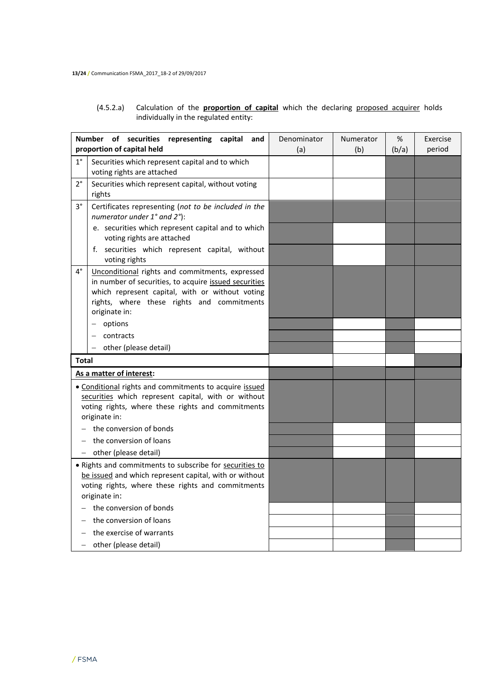(4.5.2.a) Calculation of the **proportion of capital** which the declaring proposed acquirer holds individually in the regulated entity:

|              | Number of securities<br>representing capital<br>and<br>proportion of capital held                                                                                                                                          | Denominator<br>(a) | Numerator<br>(b) | %<br>(b/a) | Exercise<br>period |
|--------------|----------------------------------------------------------------------------------------------------------------------------------------------------------------------------------------------------------------------------|--------------------|------------------|------------|--------------------|
| $1^{\circ}$  | Securities which represent capital and to which<br>voting rights are attached                                                                                                                                              |                    |                  |            |                    |
| $2^{\circ}$  | Securities which represent capital, without voting<br>rights                                                                                                                                                               |                    |                  |            |                    |
| 3°           | Certificates representing (not to be included in the<br>numerator under 1° and 2°):                                                                                                                                        |                    |                  |            |                    |
|              | e. securities which represent capital and to which<br>voting rights are attached                                                                                                                                           |                    |                  |            |                    |
|              | f. securities which represent capital, without<br>voting rights                                                                                                                                                            |                    |                  |            |                    |
| 4°           | Unconditional rights and commitments, expressed<br>in number of securities, to acquire issued securities<br>which represent capital, with or without voting<br>rights, where these rights and commitments<br>originate in: |                    |                  |            |                    |
|              | options                                                                                                                                                                                                                    |                    |                  |            |                    |
|              | contracts                                                                                                                                                                                                                  |                    |                  |            |                    |
|              | other (please detail)                                                                                                                                                                                                      |                    |                  |            |                    |
| <b>Total</b> |                                                                                                                                                                                                                            |                    |                  |            |                    |
|              | As a matter of interest:                                                                                                                                                                                                   |                    |                  |            |                    |
|              | · Conditional rights and commitments to acquire issued<br>securities which represent capital, with or without<br>voting rights, where these rights and commitments<br>originate in:                                        |                    |                  |            |                    |
|              | the conversion of bonds                                                                                                                                                                                                    |                    |                  |            |                    |
|              | the conversion of loans                                                                                                                                                                                                    |                    |                  |            |                    |
|              | - other (please detail)                                                                                                                                                                                                    |                    |                  |            |                    |
|              | . Rights and commitments to subscribe for securities to<br>be issued and which represent capital, with or without<br>voting rights, where these rights and commitments<br>originate in:                                    |                    |                  |            |                    |
|              | the conversion of bonds                                                                                                                                                                                                    |                    |                  |            |                    |
|              | the conversion of loans                                                                                                                                                                                                    |                    |                  |            |                    |
|              | the exercise of warrants                                                                                                                                                                                                   |                    |                  |            |                    |
|              | - other (please detail)                                                                                                                                                                                                    |                    |                  |            |                    |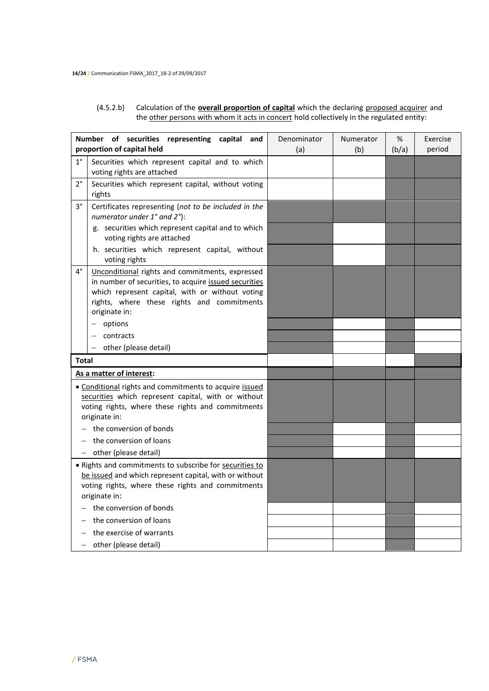#### (4.5.2.b) Calculation of the **overall proportion of capital** which the declaring proposed acquirer and the other persons with whom it acts in concert hold collectively in the regulated entity:

|              | Number of securities representing capital<br>and                                                                                                                                                                           | Denominator | Numerator | %     | Exercise |
|--------------|----------------------------------------------------------------------------------------------------------------------------------------------------------------------------------------------------------------------------|-------------|-----------|-------|----------|
|              | proportion of capital held                                                                                                                                                                                                 | (a)         | (b)       | (b/a) | period   |
| $1^{\circ}$  | Securities which represent capital and to which<br>voting rights are attached                                                                                                                                              |             |           |       |          |
| $2^{\circ}$  | Securities which represent capital, without voting<br>rights                                                                                                                                                               |             |           |       |          |
| 3°           | Certificates representing (not to be included in the<br>numerator under 1° and 2°):                                                                                                                                        |             |           |       |          |
|              | g. securities which represent capital and to which<br>voting rights are attached                                                                                                                                           |             |           |       |          |
|              | h. securities which represent capital, without<br>voting rights                                                                                                                                                            |             |           |       |          |
| 4°           | Unconditional rights and commitments, expressed<br>in number of securities, to acquire issued securities<br>which represent capital, with or without voting<br>rights, where these rights and commitments<br>originate in: |             |           |       |          |
|              | options                                                                                                                                                                                                                    |             |           |       |          |
|              | contracts                                                                                                                                                                                                                  |             |           |       |          |
|              | other (please detail)                                                                                                                                                                                                      |             |           |       |          |
| <b>Total</b> |                                                                                                                                                                                                                            |             |           |       |          |
|              | As a matter of interest:                                                                                                                                                                                                   |             |           |       |          |
|              | • Conditional rights and commitments to acquire issued<br>securities which represent capital, with or without<br>voting rights, where these rights and commitments<br>originate in:                                        |             |           |       |          |
|              | the conversion of bonds                                                                                                                                                                                                    |             |           |       |          |
|              | the conversion of loans                                                                                                                                                                                                    |             |           |       |          |
|              | other (please detail)                                                                                                                                                                                                      |             |           |       |          |
|              | . Rights and commitments to subscribe for securities to<br>be issued and which represent capital, with or without<br>voting rights, where these rights and commitments<br>originate in:                                    |             |           |       |          |
|              | the conversion of bonds                                                                                                                                                                                                    |             |           |       |          |
|              | the conversion of loans                                                                                                                                                                                                    |             |           |       |          |
|              | the exercise of warrants                                                                                                                                                                                                   |             |           |       |          |
|              | other (please detail)                                                                                                                                                                                                      |             |           |       |          |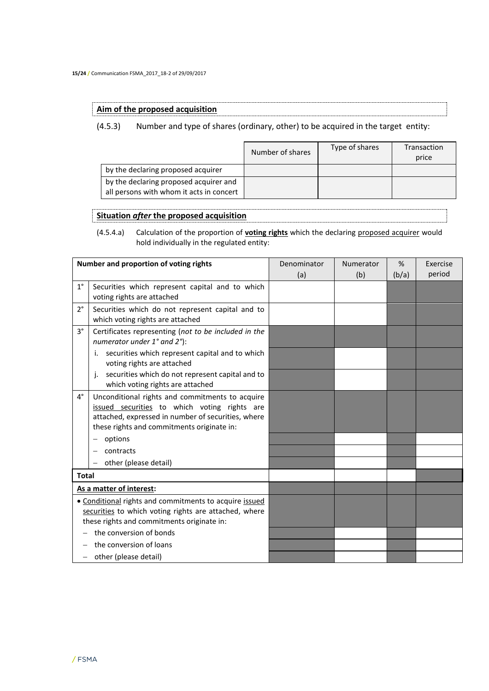#### **Aim of the proposed acquisition**

(4.5.3) Number and type of shares (ordinary, other) to be acquired in the target entity:

|                                                                                    | Number of shares | Type of shares | Transaction<br>price |
|------------------------------------------------------------------------------------|------------------|----------------|----------------------|
| by the declaring proposed acquirer                                                 |                  |                |                      |
| by the declaring proposed acquirer and<br>all persons with whom it acts in concert |                  |                |                      |

## **Situation** *after* **the proposed acquisition**

(4.5.4.a) Calculation of the proportion of **voting rights** which the declaring proposed acquirer would hold individually in the regulated entity:

|                   | Number and proportion of voting rights                                                                                                                                                              | Denominator | Numerator | %     | Exercise |
|-------------------|-----------------------------------------------------------------------------------------------------------------------------------------------------------------------------------------------------|-------------|-----------|-------|----------|
|                   |                                                                                                                                                                                                     | (a)         | (b)       | (b/a) | period   |
| $1^{\circ}$       | Securities which represent capital and to which<br>voting rights are attached                                                                                                                       |             |           |       |          |
| $2^{\circ}$       | Securities which do not represent capital and to<br>which voting rights are attached                                                                                                                |             |           |       |          |
| $3^{\circ}$       | Certificates representing (not to be included in the<br>numerator under 1° and 2°):                                                                                                                 |             |           |       |          |
|                   | securities which represent capital and to which<br>voting rights are attached                                                                                                                       |             |           |       |          |
|                   | securities which do not represent capital and to<br>j.<br>which voting rights are attached                                                                                                          |             |           |       |          |
| $4^{\circ}$       | Unconditional rights and commitments to acquire<br>issued securities to which voting rights are<br>attached, expressed in number of securities, where<br>these rights and commitments originate in: |             |           |       |          |
|                   | options                                                                                                                                                                                             |             |           |       |          |
|                   | contracts                                                                                                                                                                                           |             |           |       |          |
|                   | other (please detail)                                                                                                                                                                               |             |           |       |          |
| <b>Total</b>      |                                                                                                                                                                                                     |             |           |       |          |
|                   | As a matter of interest:                                                                                                                                                                            |             |           |       |          |
|                   | . Conditional rights and commitments to acquire issued<br>securities to which voting rights are attached, where<br>these rights and commitments originate in:                                       |             |           |       |          |
|                   | the conversion of bonds                                                                                                                                                                             |             |           |       |          |
|                   | the conversion of loans                                                                                                                                                                             |             |           |       |          |
| $\qquad \qquad -$ | other (please detail)                                                                                                                                                                               |             |           |       |          |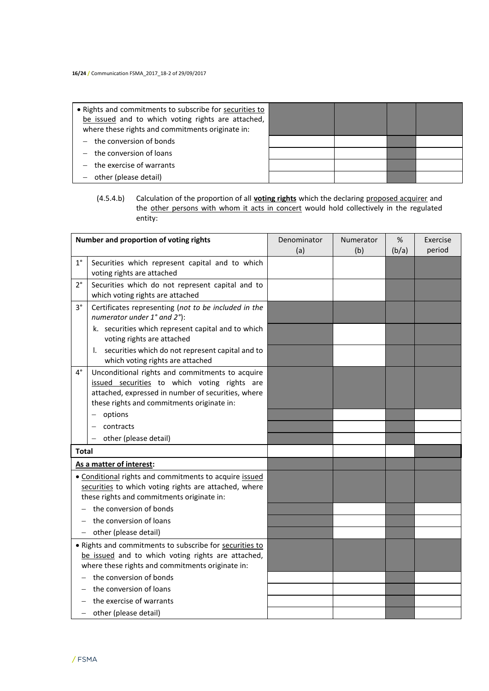| • Rights and commitments to subscribe for securities to<br>be issued and to which voting rights are attached,<br>where these rights and commitments originate in: |  |  |
|-------------------------------------------------------------------------------------------------------------------------------------------------------------------|--|--|
| $-$ the conversion of bonds                                                                                                                                       |  |  |
| $-$ the conversion of loans                                                                                                                                       |  |  |
| $-$ the exercise of warrants                                                                                                                                      |  |  |
| other (please detail)                                                                                                                                             |  |  |

#### (4.5.4.b) Calculation of the proportion of all **voting rights** which the declaring proposed acquirer and the other persons with whom it acts in concert would hold collectively in the regulated entity:

| Number and proportion of voting rights                                                                                                                            |                                                                                                                                                                                                     | Denominator<br>(a) | Numerator<br>(b) | $\%$<br>(b/a) | Exercise<br>period |
|-------------------------------------------------------------------------------------------------------------------------------------------------------------------|-----------------------------------------------------------------------------------------------------------------------------------------------------------------------------------------------------|--------------------|------------------|---------------|--------------------|
| $1^{\circ}$                                                                                                                                                       | Securities which represent capital and to which<br>voting rights are attached                                                                                                                       |                    |                  |               |                    |
| $2^{\circ}$                                                                                                                                                       | Securities which do not represent capital and to<br>which voting rights are attached                                                                                                                |                    |                  |               |                    |
| $3^{\circ}$                                                                                                                                                       | Certificates representing (not to be included in the<br>numerator under 1° and 2°):                                                                                                                 |                    |                  |               |                    |
|                                                                                                                                                                   | k. securities which represent capital and to which<br>voting rights are attached                                                                                                                    |                    |                  |               |                    |
|                                                                                                                                                                   | securities which do not represent capital and to<br>Ι.<br>which voting rights are attached                                                                                                          |                    |                  |               |                    |
| 4°                                                                                                                                                                | Unconditional rights and commitments to acquire<br>issued securities to which voting rights are<br>attached, expressed in number of securities, where<br>these rights and commitments originate in: |                    |                  |               |                    |
|                                                                                                                                                                   | options                                                                                                                                                                                             |                    |                  |               |                    |
|                                                                                                                                                                   | contracts                                                                                                                                                                                           |                    |                  |               |                    |
|                                                                                                                                                                   | other (please detail)                                                                                                                                                                               |                    |                  |               |                    |
| <b>Total</b>                                                                                                                                                      |                                                                                                                                                                                                     |                    |                  |               |                    |
|                                                                                                                                                                   | As a matter of interest:                                                                                                                                                                            |                    |                  |               |                    |
| • Conditional rights and commitments to acquire issued<br>securities to which voting rights are attached, where<br>these rights and commitments originate in:     |                                                                                                                                                                                                     |                    |                  |               |                    |
| the conversion of bonds                                                                                                                                           |                                                                                                                                                                                                     |                    |                  |               |                    |
| the conversion of loans                                                                                                                                           |                                                                                                                                                                                                     |                    |                  |               |                    |
| $-$ other (please detail)                                                                                                                                         |                                                                                                                                                                                                     |                    |                  |               |                    |
| · Rights and commitments to subscribe for securities to<br>be issued and to which voting rights are attached,<br>where these rights and commitments originate in: |                                                                                                                                                                                                     |                    |                  |               |                    |
|                                                                                                                                                                   | the conversion of bonds                                                                                                                                                                             |                    |                  |               |                    |
|                                                                                                                                                                   | the conversion of loans                                                                                                                                                                             |                    |                  |               |                    |
|                                                                                                                                                                   | the exercise of warrants                                                                                                                                                                            |                    |                  |               |                    |
|                                                                                                                                                                   | other (please detail)                                                                                                                                                                               |                    |                  |               |                    |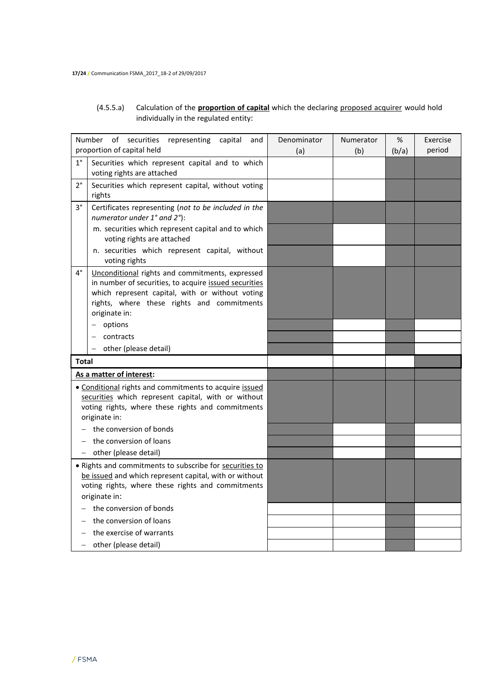# (4.5.5.a) Calculation of the **proportion of capital** which the declaring proposed acquirer would hold individually in the regulated entity:

| proportion of capital held<br>period<br>(a)<br>(b)<br>(b/a)<br>$1^{\circ}$<br>Securities which represent capital and to which<br>voting rights are attached<br>$2^{\circ}$<br>Securities which represent capital, without voting<br>rights<br>3°<br>Certificates representing (not to be included in the<br>numerator under 1° and 2°):<br>m. securities which represent capital and to which<br>voting rights are attached<br>n. securities which represent capital, without<br>voting rights<br>4°<br>Unconditional rights and commitments, expressed<br>in number of securities, to acquire issued securities<br>which represent capital, with or without voting<br>rights, where these rights and commitments<br>originate in:<br>options<br>contracts<br>other (please detail)<br>-<br><b>Total</b><br>As a matter of interest:<br>• Conditional rights and commitments to acquire issued<br>securities which represent capital, with or without<br>voting rights, where these rights and commitments<br>originate in:<br>the conversion of bonds<br>the conversion of loans<br>other (please detail)<br>. Rights and commitments to subscribe for securities to<br>be issued and which represent capital, with or without<br>voting rights, where these rights and commitments<br>originate in:<br>the conversion of bonds<br>the conversion of loans<br>the exercise of warrants<br>other (please detail) | Number of securities<br>representing<br>capital<br>and |  | Denominator | Numerator | % | Exercise |
|------------------------------------------------------------------------------------------------------------------------------------------------------------------------------------------------------------------------------------------------------------------------------------------------------------------------------------------------------------------------------------------------------------------------------------------------------------------------------------------------------------------------------------------------------------------------------------------------------------------------------------------------------------------------------------------------------------------------------------------------------------------------------------------------------------------------------------------------------------------------------------------------------------------------------------------------------------------------------------------------------------------------------------------------------------------------------------------------------------------------------------------------------------------------------------------------------------------------------------------------------------------------------------------------------------------------------------------------------------------------------------------------------------------|--------------------------------------------------------|--|-------------|-----------|---|----------|
|                                                                                                                                                                                                                                                                                                                                                                                                                                                                                                                                                                                                                                                                                                                                                                                                                                                                                                                                                                                                                                                                                                                                                                                                                                                                                                                                                                                                                  |                                                        |  |             |           |   |          |
|                                                                                                                                                                                                                                                                                                                                                                                                                                                                                                                                                                                                                                                                                                                                                                                                                                                                                                                                                                                                                                                                                                                                                                                                                                                                                                                                                                                                                  |                                                        |  |             |           |   |          |
|                                                                                                                                                                                                                                                                                                                                                                                                                                                                                                                                                                                                                                                                                                                                                                                                                                                                                                                                                                                                                                                                                                                                                                                                                                                                                                                                                                                                                  |                                                        |  |             |           |   |          |
|                                                                                                                                                                                                                                                                                                                                                                                                                                                                                                                                                                                                                                                                                                                                                                                                                                                                                                                                                                                                                                                                                                                                                                                                                                                                                                                                                                                                                  |                                                        |  |             |           |   |          |
|                                                                                                                                                                                                                                                                                                                                                                                                                                                                                                                                                                                                                                                                                                                                                                                                                                                                                                                                                                                                                                                                                                                                                                                                                                                                                                                                                                                                                  |                                                        |  |             |           |   |          |
|                                                                                                                                                                                                                                                                                                                                                                                                                                                                                                                                                                                                                                                                                                                                                                                                                                                                                                                                                                                                                                                                                                                                                                                                                                                                                                                                                                                                                  |                                                        |  |             |           |   |          |
|                                                                                                                                                                                                                                                                                                                                                                                                                                                                                                                                                                                                                                                                                                                                                                                                                                                                                                                                                                                                                                                                                                                                                                                                                                                                                                                                                                                                                  |                                                        |  |             |           |   |          |
|                                                                                                                                                                                                                                                                                                                                                                                                                                                                                                                                                                                                                                                                                                                                                                                                                                                                                                                                                                                                                                                                                                                                                                                                                                                                                                                                                                                                                  |                                                        |  |             |           |   |          |
|                                                                                                                                                                                                                                                                                                                                                                                                                                                                                                                                                                                                                                                                                                                                                                                                                                                                                                                                                                                                                                                                                                                                                                                                                                                                                                                                                                                                                  |                                                        |  |             |           |   |          |
|                                                                                                                                                                                                                                                                                                                                                                                                                                                                                                                                                                                                                                                                                                                                                                                                                                                                                                                                                                                                                                                                                                                                                                                                                                                                                                                                                                                                                  |                                                        |  |             |           |   |          |
|                                                                                                                                                                                                                                                                                                                                                                                                                                                                                                                                                                                                                                                                                                                                                                                                                                                                                                                                                                                                                                                                                                                                                                                                                                                                                                                                                                                                                  |                                                        |  |             |           |   |          |
|                                                                                                                                                                                                                                                                                                                                                                                                                                                                                                                                                                                                                                                                                                                                                                                                                                                                                                                                                                                                                                                                                                                                                                                                                                                                                                                                                                                                                  |                                                        |  |             |           |   |          |
|                                                                                                                                                                                                                                                                                                                                                                                                                                                                                                                                                                                                                                                                                                                                                                                                                                                                                                                                                                                                                                                                                                                                                                                                                                                                                                                                                                                                                  |                                                        |  |             |           |   |          |
|                                                                                                                                                                                                                                                                                                                                                                                                                                                                                                                                                                                                                                                                                                                                                                                                                                                                                                                                                                                                                                                                                                                                                                                                                                                                                                                                                                                                                  |                                                        |  |             |           |   |          |
|                                                                                                                                                                                                                                                                                                                                                                                                                                                                                                                                                                                                                                                                                                                                                                                                                                                                                                                                                                                                                                                                                                                                                                                                                                                                                                                                                                                                                  |                                                        |  |             |           |   |          |
|                                                                                                                                                                                                                                                                                                                                                                                                                                                                                                                                                                                                                                                                                                                                                                                                                                                                                                                                                                                                                                                                                                                                                                                                                                                                                                                                                                                                                  |                                                        |  |             |           |   |          |
|                                                                                                                                                                                                                                                                                                                                                                                                                                                                                                                                                                                                                                                                                                                                                                                                                                                                                                                                                                                                                                                                                                                                                                                                                                                                                                                                                                                                                  |                                                        |  |             |           |   |          |
|                                                                                                                                                                                                                                                                                                                                                                                                                                                                                                                                                                                                                                                                                                                                                                                                                                                                                                                                                                                                                                                                                                                                                                                                                                                                                                                                                                                                                  |                                                        |  |             |           |   |          |
|                                                                                                                                                                                                                                                                                                                                                                                                                                                                                                                                                                                                                                                                                                                                                                                                                                                                                                                                                                                                                                                                                                                                                                                                                                                                                                                                                                                                                  |                                                        |  |             |           |   |          |
|                                                                                                                                                                                                                                                                                                                                                                                                                                                                                                                                                                                                                                                                                                                                                                                                                                                                                                                                                                                                                                                                                                                                                                                                                                                                                                                                                                                                                  |                                                        |  |             |           |   |          |
|                                                                                                                                                                                                                                                                                                                                                                                                                                                                                                                                                                                                                                                                                                                                                                                                                                                                                                                                                                                                                                                                                                                                                                                                                                                                                                                                                                                                                  |                                                        |  |             |           |   |          |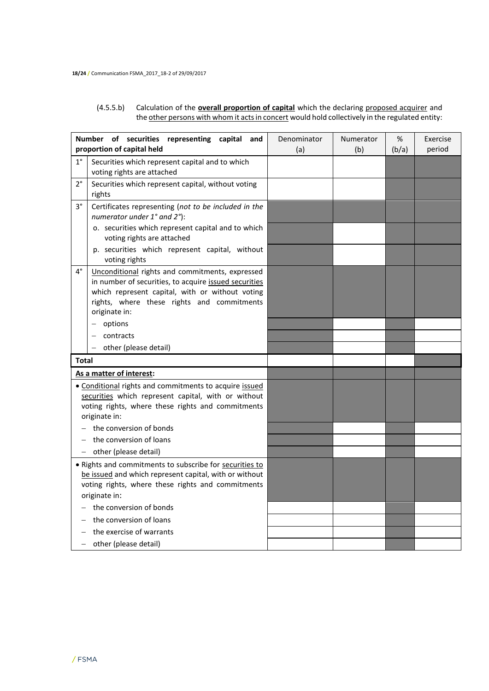#### (4.5.5.b) Calculation of the **overall proportion of capital** which the declaring proposed acquirer and the other persons with whom it acts in concert would hold collectively in the regulated entity:

| Number of securities representing capital<br>and                                                                                                                                        |                                                                                                                                                                                                                            | Denominator | Numerator | %     | Exercise |
|-----------------------------------------------------------------------------------------------------------------------------------------------------------------------------------------|----------------------------------------------------------------------------------------------------------------------------------------------------------------------------------------------------------------------------|-------------|-----------|-------|----------|
|                                                                                                                                                                                         | proportion of capital held                                                                                                                                                                                                 | (a)         | (b)       | (b/a) | period   |
| $1^{\circ}$                                                                                                                                                                             | Securities which represent capital and to which<br>voting rights are attached                                                                                                                                              |             |           |       |          |
| $2^{\circ}$                                                                                                                                                                             | Securities which represent capital, without voting<br>rights                                                                                                                                                               |             |           |       |          |
| 3°                                                                                                                                                                                      | Certificates representing (not to be included in the<br>numerator under 1° and 2°):                                                                                                                                        |             |           |       |          |
|                                                                                                                                                                                         | o. securities which represent capital and to which<br>voting rights are attached                                                                                                                                           |             |           |       |          |
|                                                                                                                                                                                         | p. securities which represent capital, without<br>voting rights                                                                                                                                                            |             |           |       |          |
| 4°                                                                                                                                                                                      | Unconditional rights and commitments, expressed<br>in number of securities, to acquire issued securities<br>which represent capital, with or without voting<br>rights, where these rights and commitments<br>originate in: |             |           |       |          |
|                                                                                                                                                                                         | options                                                                                                                                                                                                                    |             |           |       |          |
|                                                                                                                                                                                         | contracts                                                                                                                                                                                                                  |             |           |       |          |
|                                                                                                                                                                                         | other (please detail)                                                                                                                                                                                                      |             |           |       |          |
| Total                                                                                                                                                                                   |                                                                                                                                                                                                                            |             |           |       |          |
|                                                                                                                                                                                         | As a matter of interest:                                                                                                                                                                                                   |             |           |       |          |
| · Conditional rights and commitments to acquire issued<br>securities which represent capital, with or without<br>voting rights, where these rights and commitments<br>originate in:     |                                                                                                                                                                                                                            |             |           |       |          |
|                                                                                                                                                                                         | the conversion of bonds                                                                                                                                                                                                    |             |           |       |          |
| the conversion of loans                                                                                                                                                                 |                                                                                                                                                                                                                            |             |           |       |          |
|                                                                                                                                                                                         | other (please detail)                                                                                                                                                                                                      |             |           |       |          |
| . Rights and commitments to subscribe for securities to<br>be issued and which represent capital, with or without<br>voting rights, where these rights and commitments<br>originate in: |                                                                                                                                                                                                                            |             |           |       |          |
| the conversion of bonds                                                                                                                                                                 |                                                                                                                                                                                                                            |             |           |       |          |
| the conversion of loans                                                                                                                                                                 |                                                                                                                                                                                                                            |             |           |       |          |
| the exercise of warrants                                                                                                                                                                |                                                                                                                                                                                                                            |             |           |       |          |
| - other (please detail)                                                                                                                                                                 |                                                                                                                                                                                                                            |             |           |       |          |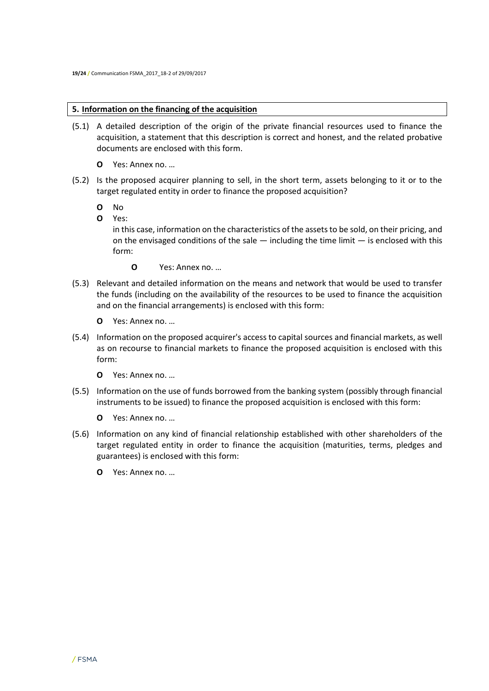# **5. Information on the financing of the acquisition**

- (5.1) A detailed description of the origin of the private financial resources used to finance the acquisition, a statement that this description is correct and honest, and the related probative documents are enclosed with this form.
	- **O** Yes: Annex no. …
- (5.2) Is the proposed acquirer planning to sell, in the short term, assets belonging to it or to the target regulated entity in order to finance the proposed acquisition?
	- **O** No
	- **O** Yes:

in this case, information on the characteristics of the assets to be sold, on their pricing, and on the envisaged conditions of the sale  $-$  including the time limit  $-$  is enclosed with this form:

- **O** Yes: Annex no. …
- (5.3) Relevant and detailed information on the means and network that would be used to transfer the funds (including on the availability of the resources to be used to finance the acquisition and on the financial arrangements) is enclosed with this form:
	- **O** Yes: Annex no. …
- (5.4) Information on the proposed acquirer's access to capital sources and financial markets, as well as on recourse to financial markets to finance the proposed acquisition is enclosed with this form:
	- **O** Yes: Annex no. …
- (5.5) Information on the use of funds borrowed from the banking system (possibly through financial instruments to be issued) to finance the proposed acquisition is enclosed with this form:
	- **O** Yes: Annex no. …
- (5.6) Information on any kind of financial relationship established with other shareholders of the target regulated entity in order to finance the acquisition (maturities, terms, pledges and guarantees) is enclosed with this form:
	- **O** Yes: Annex no. …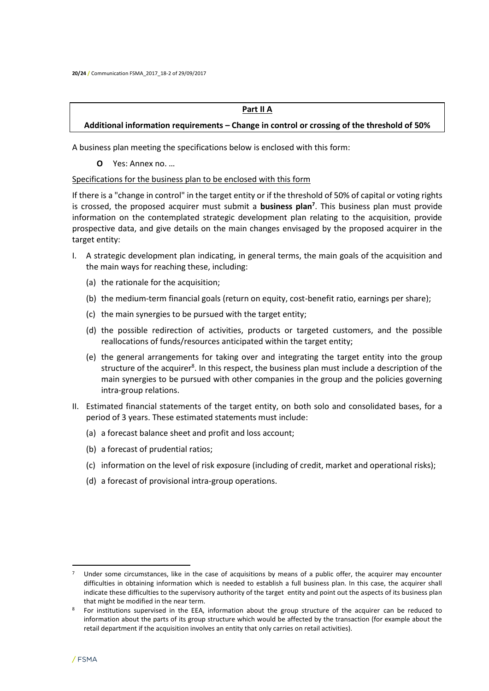#### **Part II A**

## **Additional information requirements – Change in control or crossing of the threshold of 50%**

A business plan meeting the specifications below is enclosed with this form:

**O** Yes: Annex no. …

#### Specifications for the business plan to be enclosed with this form

If there is a "change in control" in the target entity or if the threshold of 50% of capital or voting rights is crossed, the proposed acquirer must submit a **business plan<sup>7</sup>** . This business plan must provide information on the contemplated strategic development plan relating to the acquisition, provide prospective data, and give details on the main changes envisaged by the proposed acquirer in the target entity:

- I. A strategic development plan indicating, in general terms, the main goals of the acquisition and the main ways for reaching these, including:
	- (a) the rationale for the acquisition;
	- (b) the medium-term financial goals (return on equity, cost-benefit ratio, earnings per share);
	- (c) the main synergies to be pursued with the target entity;
	- (d) the possible redirection of activities, products or targeted customers, and the possible reallocations of funds/resources anticipated within the target entity;
	- (e) the general arrangements for taking over and integrating the target entity into the group structure of the acquirer<sup>8</sup>. In this respect, the business plan must include a description of the main synergies to be pursued with other companies in the group and the policies governing intra-group relations.
- II. Estimated financial statements of the target entity, on both solo and consolidated bases, for a period of 3 years. These estimated statements must include:
	- (a) a forecast balance sheet and profit and loss account;
	- (b) a forecast of prudential ratios;
	- (c) information on the level of risk exposure (including of credit, market and operational risks);
	- (d) a forecast of provisional intra-group operations.

 $\overline{\phantom{a}}$ 

 $7$  Under some circumstances, like in the case of acquisitions by means of a public offer, the acquirer may encounter difficulties in obtaining information which is needed to establish a full business plan. In this case, the acquirer shall indicate these difficulties to the supervisory authority of the target entity and point out the aspects of its business plan that might be modified in the near term.

<sup>&</sup>lt;sup>8</sup> For institutions supervised in the EEA, information about the group structure of the acquirer can be reduced to information about the parts of its group structure which would be affected by the transaction (for example about the retail department if the acquisition involves an entity that only carries on retail activities).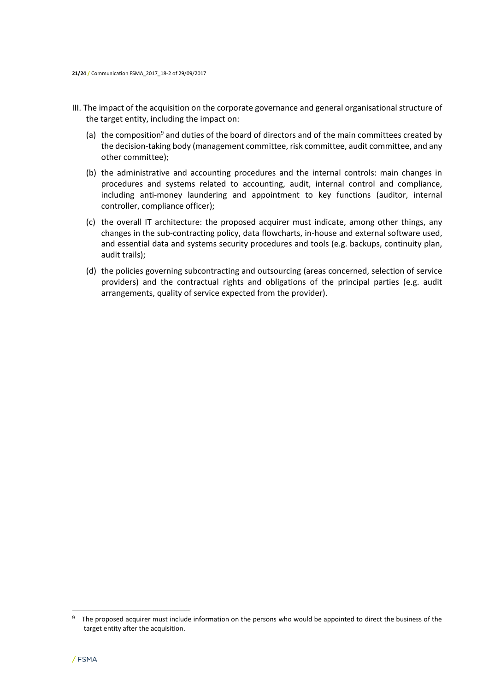- III. The impact of the acquisition on the corporate governance and general organisational structure of the target entity, including the impact on:
	- (a) the composition<sup>9</sup> and duties of the board of directors and of the main committees created by the decision-taking body (management committee, risk committee, audit committee, and any other committee);
	- (b) the administrative and accounting procedures and the internal controls: main changes in procedures and systems related to accounting, audit, internal control and compliance, including anti-money laundering and appointment to key functions (auditor, internal controller, compliance officer);
	- (c) the overall IT architecture: the proposed acquirer must indicate, among other things, any changes in the sub-contracting policy, data flowcharts, in-house and external software used, and essential data and systems security procedures and tools (e.g. backups, continuity plan, audit trails);
	- (d) the policies governing subcontracting and outsourcing (areas concerned, selection of service providers) and the contractual rights and obligations of the principal parties (e.g. audit arrangements, quality of service expected from the provider).

 $\overline{\phantom{a}}$ 

<sup>&</sup>lt;sup>9</sup> The proposed acquirer must include information on the persons who would be appointed to direct the business of the target entity after the acquisition.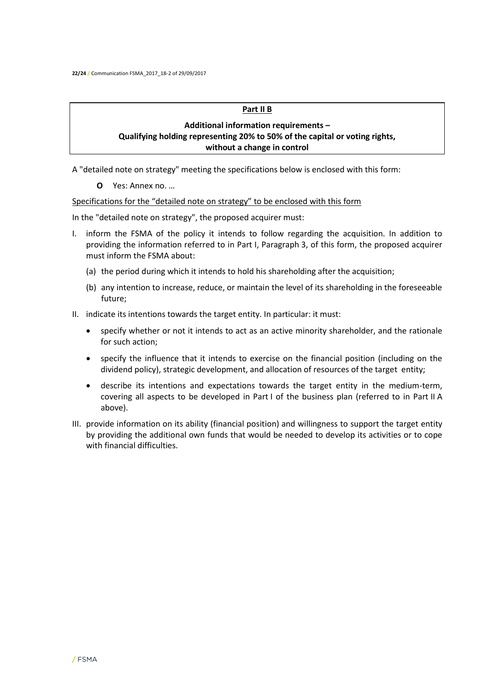#### **Part II B**

# **Additional information requirements – Qualifying holding representing 20% to 50% of the capital or voting rights, without a change in control**

A "detailed note on strategy" meeting the specifications below is enclosed with this form:

**O** Yes: Annex no. …

## Specifications for the "detailed note on strategy" to be enclosed with this form

In the "detailed note on strategy", the proposed acquirer must:

- I. inform the FSMA of the policy it intends to follow regarding the acquisition. In addition to providing the information referred to in Part I, Paragraph 3, of this form, the proposed acquirer must inform the FSMA about:
	- (a) the period during which it intends to hold his shareholding after the acquisition;
	- (b) any intention to increase, reduce, or maintain the level of its shareholding in the foreseeable future;
- II. indicate its intentions towards the target entity. In particular: it must:
	- specify whether or not it intends to act as an active minority shareholder, and the rationale for such action;
	- specify the influence that it intends to exercise on the financial position (including on the dividend policy), strategic development, and allocation of resources of the target entity;
	- describe its intentions and expectations towards the target entity in the medium-term, covering all aspects to be developed in Part I of the business plan (referred to in Part II A above).
- III. provide information on its ability (financial position) and willingness to support the target entity by providing the additional own funds that would be needed to develop its activities or to cope with financial difficulties.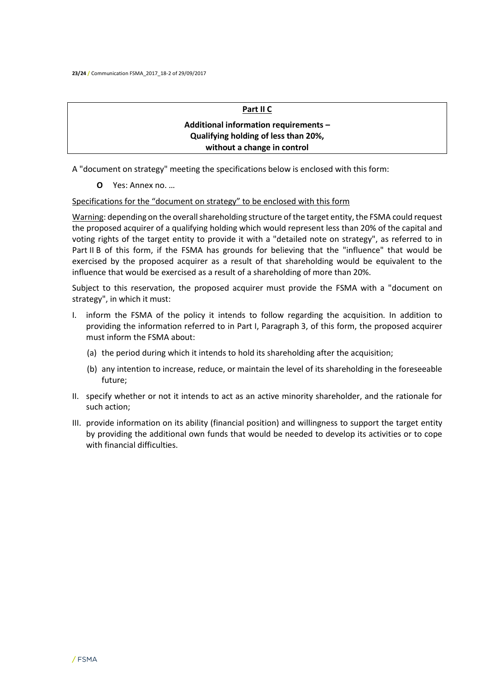## **Part II C**

# **Additional information requirements – Qualifying holding of less than 20%, without a change in control**

A "document on strategy" meeting the specifications below is enclosed with this form:

**O** Yes: Annex no. …

Specifications for the "document on strategy" to be enclosed with this form

Warning: depending on the overall shareholding structure of the target entity, the FSMA could request the proposed acquirer of a qualifying holding which would represent less than 20% of the capital and voting rights of the target entity to provide it with a "detailed note on strategy", as referred to in Part II B of this form, if the FSMA has grounds for believing that the "influence" that would be exercised by the proposed acquirer as a result of that shareholding would be equivalent to the influence that would be exercised as a result of a shareholding of more than 20%.

Subject to this reservation, the proposed acquirer must provide the FSMA with a "document on strategy", in which it must:

- I. inform the FSMA of the policy it intends to follow regarding the acquisition. In addition to providing the information referred to in Part I, Paragraph 3, of this form, the proposed acquirer must inform the FSMA about:
	- (a) the period during which it intends to hold its shareholding after the acquisition;
	- (b) any intention to increase, reduce, or maintain the level of its shareholding in the foreseeable future;
- II. specify whether or not it intends to act as an active minority shareholder, and the rationale for such action;
- III. provide information on its ability (financial position) and willingness to support the target entity by providing the additional own funds that would be needed to develop its activities or to cope with financial difficulties.